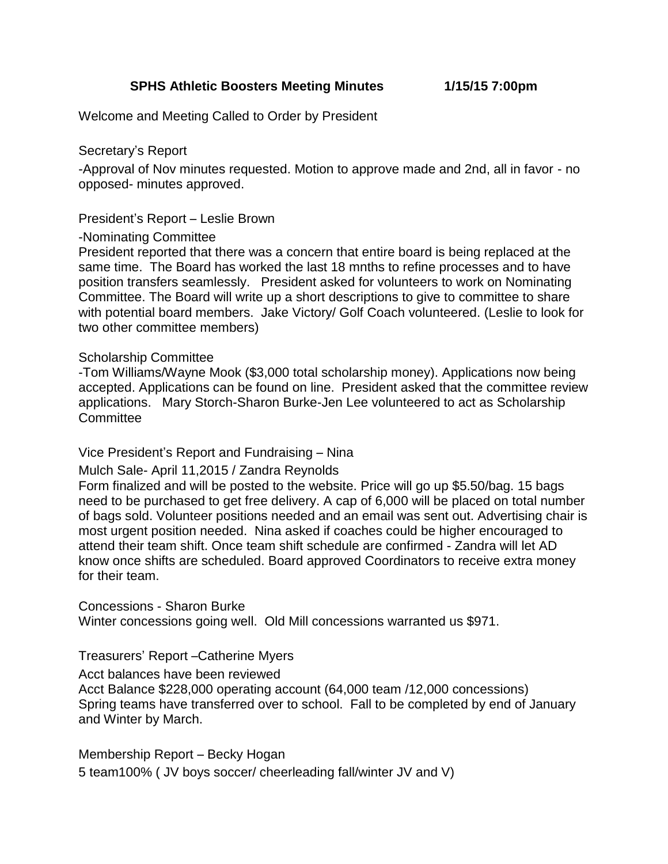**SPHS Athletic Boosters Meeting Minutes 1/15/15 7:00pm**

Welcome and Meeting Called to Order by President

Secretary's Report

-Approval of Nov minutes requested. Motion to approve made and 2nd, all in favor - no opposed- minutes approved.

President's Report – Leslie Brown

-Nominating Committee

President reported that there was a concern that entire board is being replaced at the same time. The Board has worked the last 18 mnths to refine processes and to have position transfers seamlessly. President asked for volunteers to work on Nominating Committee. The Board will write up a short descriptions to give to committee to share with potential board members. Jake Victory/ Golf Coach volunteered. (Leslie to look for two other committee members)

## Scholarship Committee

-Tom Williams/Wayne Mook (\$3,000 total scholarship money). Applications now being accepted. Applications can be found on line. President asked that the committee review applications. Mary Storch-Sharon Burke-Jen Lee volunteered to act as Scholarship **Committee** 

## Vice President's Report and Fundraising – Nina

## Mulch Sale- April 11,2015 / Zandra Reynolds

Form finalized and will be posted to the website. Price will go up \$5.50/bag. 15 bags need to be purchased to get free delivery. A cap of 6,000 will be placed on total number of bags sold. Volunteer positions needed and an email was sent out. Advertising chair is most urgent position needed. Nina asked if coaches could be higher encouraged to attend their team shift. Once team shift schedule are confirmed - Zandra will let AD know once shifts are scheduled. Board approved Coordinators to receive extra money for their team.

Concessions - Sharon Burke

Winter concessions going well. Old Mill concessions warranted us \$971.

## Treasurers' Report –Catherine Myers

Acct balances have been reviewed

Acct Balance \$228,000 operating account (64,000 team /12,000 concessions) Spring teams have transferred over to school. Fall to be completed by end of January and Winter by March.

Membership Report – Becky Hogan 5 team100% ( JV boys soccer/ cheerleading fall/winter JV and V)